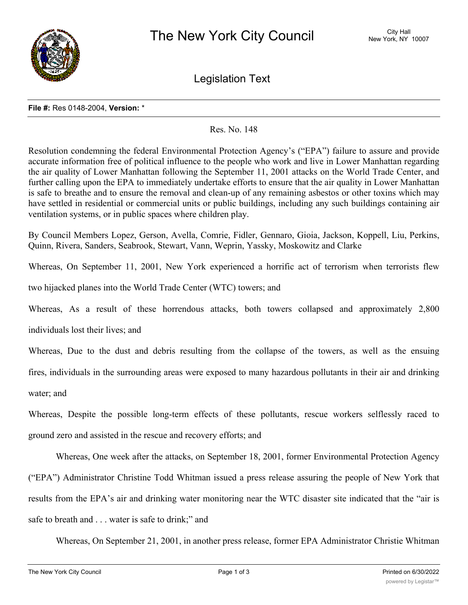

Legislation Text

## **File #:** Res 0148-2004, **Version:** \*

## Res. No. 148

Resolution condemning the federal Environmental Protection Agency's ("EPA") failure to assure and provide accurate information free of political influence to the people who work and live in Lower Manhattan regarding the air quality of Lower Manhattan following the September 11, 2001 attacks on the World Trade Center, and further calling upon the EPA to immediately undertake efforts to ensure that the air quality in Lower Manhattan is safe to breathe and to ensure the removal and clean-up of any remaining asbestos or other toxins which may have settled in residential or commercial units or public buildings, including any such buildings containing air ventilation systems, or in public spaces where children play.

By Council Members Lopez, Gerson, Avella, Comrie, Fidler, Gennaro, Gioia, Jackson, Koppell, Liu, Perkins, Quinn, Rivera, Sanders, Seabrook, Stewart, Vann, Weprin, Yassky, Moskowitz and Clarke

Whereas, On September 11, 2001, New York experienced a horrific act of terrorism when terrorists flew

two hijacked planes into the World Trade Center (WTC) towers; and

Whereas, As a result of these horrendous attacks, both towers collapsed and approximately 2,800

individuals lost their lives; and

Whereas, Due to the dust and debris resulting from the collapse of the towers, as well as the ensuing fires, individuals in the surrounding areas were exposed to many hazardous pollutants in their air and drinking water; and

Whereas, Despite the possible long-term effects of these pollutants, rescue workers selflessly raced to ground zero and assisted in the rescue and recovery efforts; and

Whereas, One week after the attacks, on September 18, 2001, former Environmental Protection Agency ("EPA") Administrator Christine Todd Whitman issued a press release assuring the people of New York that results from the EPA's air and drinking water monitoring near the WTC disaster site indicated that the "air is safe to breath and . . . water is safe to drink;" and

Whereas, On September 21, 2001, in another press release, former EPA Administrator Christie Whitman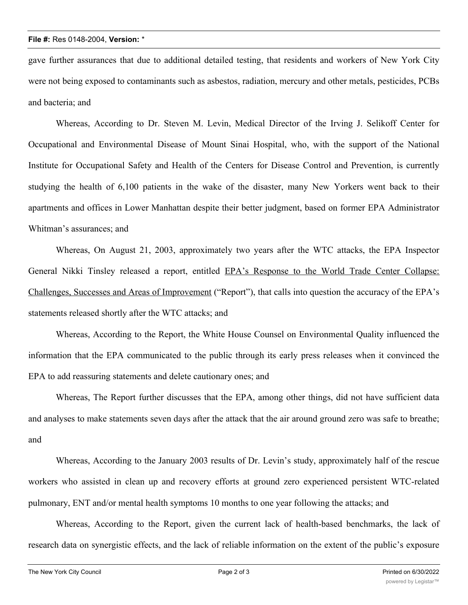## **File #:** Res 0148-2004, **Version:** \*

gave further assurances that due to additional detailed testing, that residents and workers of New York City were not being exposed to contaminants such as asbestos, radiation, mercury and other metals, pesticides, PCBs and bacteria; and

Whereas, According to Dr. Steven M. Levin, Medical Director of the Irving J. Selikoff Center for Occupational and Environmental Disease of Mount Sinai Hospital, who, with the support of the National Institute for Occupational Safety and Health of the Centers for Disease Control and Prevention, is currently studying the health of 6,100 patients in the wake of the disaster, many New Yorkers went back to their apartments and offices in Lower Manhattan despite their better judgment, based on former EPA Administrator Whitman's assurances; and

Whereas, On August 21, 2003, approximately two years after the WTC attacks, the EPA Inspector General Nikki Tinsley released a report, entitled EPA's Response to the World Trade Center Collapse: Challenges, Successes and Areas of Improvement ("Report"), that calls into question the accuracy of the EPA's statements released shortly after the WTC attacks; and

Whereas, According to the Report, the White House Counsel on Environmental Quality influenced the information that the EPA communicated to the public through its early press releases when it convinced the EPA to add reassuring statements and delete cautionary ones; and

Whereas, The Report further discusses that the EPA, among other things, did not have sufficient data and analyses to make statements seven days after the attack that the air around ground zero was safe to breathe; and

Whereas, According to the January 2003 results of Dr. Levin's study, approximately half of the rescue workers who assisted in clean up and recovery efforts at ground zero experienced persistent WTC-related pulmonary, ENT and/or mental health symptoms 10 months to one year following the attacks; and

Whereas, According to the Report, given the current lack of health-based benchmarks, the lack of research data on synergistic effects, and the lack of reliable information on the extent of the public's exposure